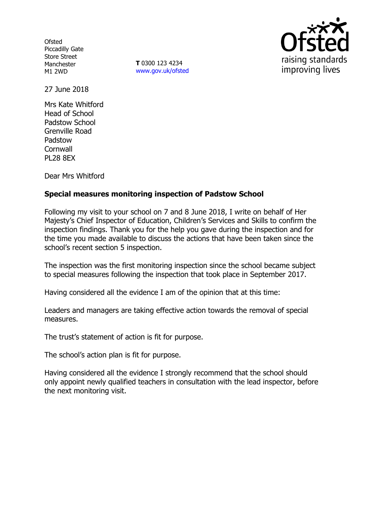**Ofsted** Piccadilly Gate Store Street Manchester M1 2WD

**T** 0300 123 4234 www.gov.uk/ofsted



27 June 2018

Mrs Kate Whitford Head of School Padstow School Grenville Road Padstow **Cornwall** PL28 8EX

Dear Mrs Whitford

# **Special measures monitoring inspection of Padstow School**

Following my visit to your school on 7 and 8 June 2018, I write on behalf of Her Majesty's Chief Inspector of Education, Children's Services and Skills to confirm the inspection findings. Thank you for the help you gave during the inspection and for the time you made available to discuss the actions that have been taken since the school's recent section 5 inspection.

The inspection was the first monitoring inspection since the school became subject to special measures following the inspection that took place in September 2017.

Having considered all the evidence I am of the opinion that at this time:

Leaders and managers are taking effective action towards the removal of special measures.

The trust's statement of action is fit for purpose.

The school's action plan is fit for purpose.

Having considered all the evidence I strongly recommend that the school should only appoint newly qualified teachers in consultation with the lead inspector, before the next monitoring visit.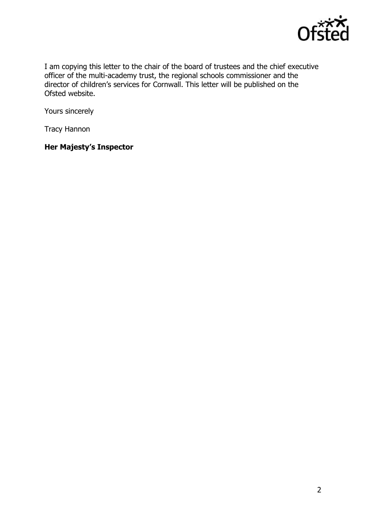

I am copying this letter to the chair of the board of trustees and the chief executive officer of the multi-academy trust, the regional schools commissioner and the director of children's services for Cornwall. This letter will be published on the Ofsted website.

Yours sincerely

Tracy Hannon

# **Her Majesty's Inspector**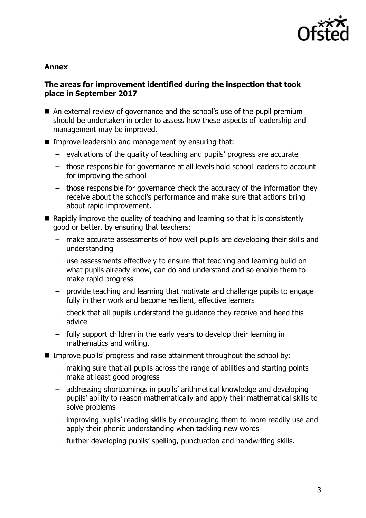

#### **Annex**

# **The areas for improvement identified during the inspection that took place in September 2017**

- An external review of governance and the school's use of the pupil premium should be undertaken in order to assess how these aspects of leadership and management may be improved.
- **IMPROVE LEADERSHIP and management by ensuring that:** 
	- evaluations of the quality of teaching and pupils' progress are accurate
	- those responsible for governance at all levels hold school leaders to account for improving the school
	- those responsible for governance check the accuracy of the information they receive about the school's performance and make sure that actions bring about rapid improvement.
- $\blacksquare$  Rapidly improve the quality of teaching and learning so that it is consistently good or better, by ensuring that teachers:
	- make accurate assessments of how well pupils are developing their skills and understanding
	- use assessments effectively to ensure that teaching and learning build on what pupils already know, can do and understand and so enable them to make rapid progress
	- provide teaching and learning that motivate and challenge pupils to engage fully in their work and become resilient, effective learners
	- check that all pupils understand the guidance they receive and heed this advice
	- fully support children in the early years to develop their learning in mathematics and writing.
- Improve pupils' progress and raise attainment throughout the school by:
	- making sure that all pupils across the range of abilities and starting points make at least good progress
	- addressing shortcomings in pupils' arithmetical knowledge and developing pupils' ability to reason mathematically and apply their mathematical skills to solve problems
	- improving pupils' reading skills by encouraging them to more readily use and apply their phonic understanding when tackling new words
	- further developing pupils' spelling, punctuation and handwriting skills.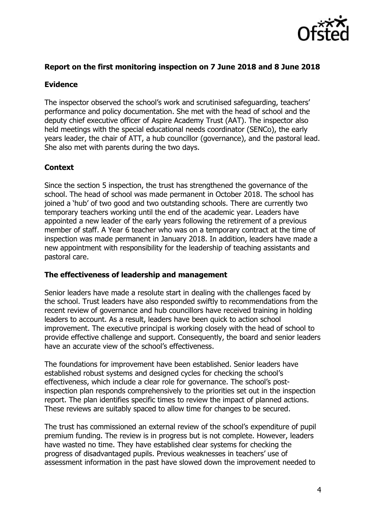

### **Report on the first monitoring inspection on 7 June 2018 and 8 June 2018**

### **Evidence**

The inspector observed the school's work and scrutinised safeguarding, teachers' performance and policy documentation. She met with the head of school and the deputy chief executive officer of Aspire Academy Trust (AAT). The inspector also held meetings with the special educational needs coordinator (SENCo), the early years leader, the chair of ATT, a hub councillor (governance), and the pastoral lead. She also met with parents during the two days.

#### **Context**

Since the section 5 inspection, the trust has strengthened the governance of the school. The head of school was made permanent in October 2018. The school has joined a 'hub' of two good and two outstanding schools. There are currently two temporary teachers working until the end of the academic year. Leaders have appointed a new leader of the early years following the retirement of a previous member of staff. A Year 6 teacher who was on a temporary contract at the time of inspection was made permanent in January 2018. In addition, leaders have made a new appointment with responsibility for the leadership of teaching assistants and pastoral care.

#### **The effectiveness of leadership and management**

Senior leaders have made a resolute start in dealing with the challenges faced by the school. Trust leaders have also responded swiftly to recommendations from the recent review of governance and hub councillors have received training in holding leaders to account. As a result, leaders have been quick to action school improvement. The executive principal is working closely with the head of school to provide effective challenge and support. Consequently, the board and senior leaders have an accurate view of the school's effectiveness.

The foundations for improvement have been established. Senior leaders have established robust systems and designed cycles for checking the school's effectiveness, which include a clear role for governance. The school's postinspection plan responds comprehensively to the priorities set out in the inspection report. The plan identifies specific times to review the impact of planned actions. These reviews are suitably spaced to allow time for changes to be secured.

The trust has commissioned an external review of the school's expenditure of pupil premium funding. The review is in progress but is not complete. However, leaders have wasted no time. They have established clear systems for checking the progress of disadvantaged pupils. Previous weaknesses in teachers' use of assessment information in the past have slowed down the improvement needed to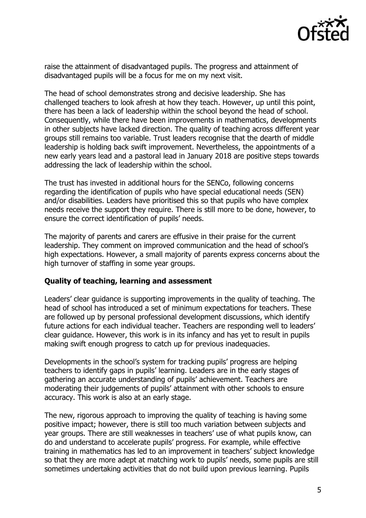

raise the attainment of disadvantaged pupils. The progress and attainment of disadvantaged pupils will be a focus for me on my next visit.

The head of school demonstrates strong and decisive leadership. She has challenged teachers to look afresh at how they teach. However, up until this point, there has been a lack of leadership within the school beyond the head of school. Consequently, while there have been improvements in mathematics, developments in other subjects have lacked direction. The quality of teaching across different year groups still remains too variable. Trust leaders recognise that the dearth of middle leadership is holding back swift improvement. Nevertheless, the appointments of a new early years lead and a pastoral lead in January 2018 are positive steps towards addressing the lack of leadership within the school.

The trust has invested in additional hours for the SENCo, following concerns regarding the identification of pupils who have special educational needs (SEN) and/or disabilities. Leaders have prioritised this so that pupils who have complex needs receive the support they require. There is still more to be done, however, to ensure the correct identification of pupils' needs.

The majority of parents and carers are effusive in their praise for the current leadership. They comment on improved communication and the head of school's high expectations. However, a small majority of parents express concerns about the high turnover of staffing in some year groups.

# **Quality of teaching, learning and assessment**

Leaders' clear guidance is supporting improvements in the quality of teaching. The head of school has introduced a set of minimum expectations for teachers. These are followed up by personal professional development discussions, which identify future actions for each individual teacher. Teachers are responding well to leaders' clear guidance. However, this work is in its infancy and has yet to result in pupils making swift enough progress to catch up for previous inadequacies.

Developments in the school's system for tracking pupils' progress are helping teachers to identify gaps in pupils' learning. Leaders are in the early stages of gathering an accurate understanding of pupils' achievement. Teachers are moderating their judgements of pupils' attainment with other schools to ensure accuracy. This work is also at an early stage.

The new, rigorous approach to improving the quality of teaching is having some positive impact; however, there is still too much variation between subjects and year groups. There are still weaknesses in teachers' use of what pupils know, can do and understand to accelerate pupils' progress. For example, while effective training in mathematics has led to an improvement in teachers' subject knowledge so that they are more adept at matching work to pupils' needs, some pupils are still sometimes undertaking activities that do not build upon previous learning. Pupils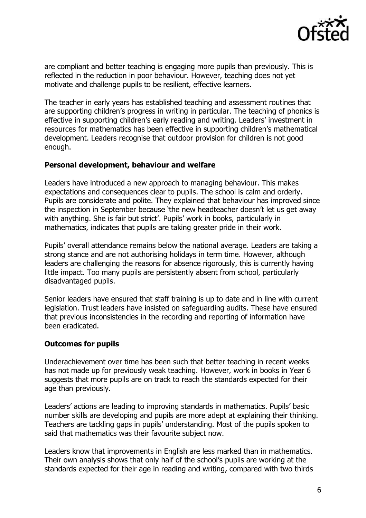

are compliant and better teaching is engaging more pupils than previously. This is reflected in the reduction in poor behaviour. However, teaching does not yet motivate and challenge pupils to be resilient, effective learners.

The teacher in early years has established teaching and assessment routines that are supporting children's progress in writing in particular. The teaching of phonics is effective in supporting children's early reading and writing. Leaders' investment in resources for mathematics has been effective in supporting children's mathematical development. Leaders recognise that outdoor provision for children is not good enough.

# **Personal development, behaviour and welfare**

Leaders have introduced a new approach to managing behaviour. This makes expectations and consequences clear to pupils. The school is calm and orderly. Pupils are considerate and polite. They explained that behaviour has improved since the inspection in September because 'the new headteacher doesn't let us get away with anything. She is fair but strict'. Pupils' work in books, particularly in mathematics, indicates that pupils are taking greater pride in their work.

Pupils' overall attendance remains below the national average. Leaders are taking a strong stance and are not authorising holidays in term time. However, although leaders are challenging the reasons for absence rigorously, this is currently having little impact. Too many pupils are persistently absent from school, particularly disadvantaged pupils.

Senior leaders have ensured that staff training is up to date and in line with current legislation. Trust leaders have insisted on safeguarding audits. These have ensured that previous inconsistencies in the recording and reporting of information have been eradicated.

# **Outcomes for pupils**

Underachievement over time has been such that better teaching in recent weeks has not made up for previously weak teaching. However, work in books in Year 6 suggests that more pupils are on track to reach the standards expected for their age than previously.

Leaders' actions are leading to improving standards in mathematics. Pupils' basic number skills are developing and pupils are more adept at explaining their thinking. Teachers are tackling gaps in pupils' understanding. Most of the pupils spoken to said that mathematics was their favourite subject now.

Leaders know that improvements in English are less marked than in mathematics. Their own analysis shows that only half of the school's pupils are working at the standards expected for their age in reading and writing, compared with two thirds